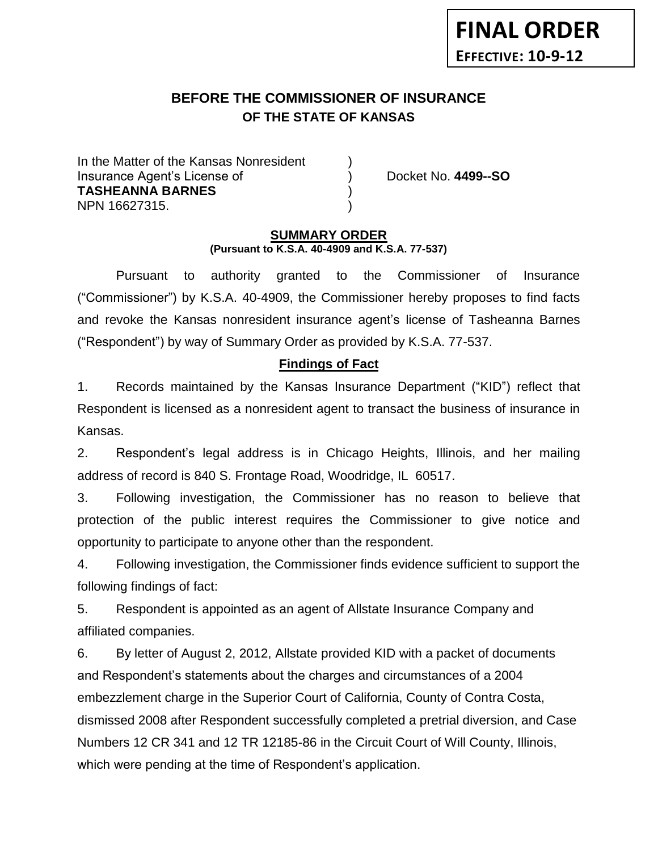# **BEFORE THE COMMISSIONER OF INSURANCE OF THE STATE OF KANSAS**

In the Matter of the Kansas Nonresident Insurance Agent's License of ) Docket No. **4499--SO TASHEANNA BARNES** ) NPN 16627315. )

### **SUMMARY ORDER (Pursuant to K.S.A. 40-4909 and K.S.A. 77-537)**

Pursuant to authority granted to the Commissioner of Insurance ("Commissioner") by K.S.A. 40-4909, the Commissioner hereby proposes to find facts and revoke the Kansas nonresident insurance agent's license of Tasheanna Barnes ("Respondent") by way of Summary Order as provided by K.S.A. 77-537.

# **Findings of Fact**

1. Records maintained by the Kansas Insurance Department ("KID") reflect that Respondent is licensed as a nonresident agent to transact the business of insurance in Kansas.

2. Respondent's legal address is in Chicago Heights, Illinois, and her mailing address of record is 840 S. Frontage Road, Woodridge, IL 60517.

3. Following investigation, the Commissioner has no reason to believe that protection of the public interest requires the Commissioner to give notice and opportunity to participate to anyone other than the respondent.

4. Following investigation, the Commissioner finds evidence sufficient to support the following findings of fact:

5. Respondent is appointed as an agent of Allstate Insurance Company and affiliated companies.

6. By letter of August 2, 2012, Allstate provided KID with a packet of documents and Respondent's statements about the charges and circumstances of a 2004 embezzlement charge in the Superior Court of California, County of Contra Costa, dismissed 2008 after Respondent successfully completed a pretrial diversion, and Case Numbers 12 CR 341 and 12 TR 12185-86 in the Circuit Court of Will County, Illinois, which were pending at the time of Respondent's application.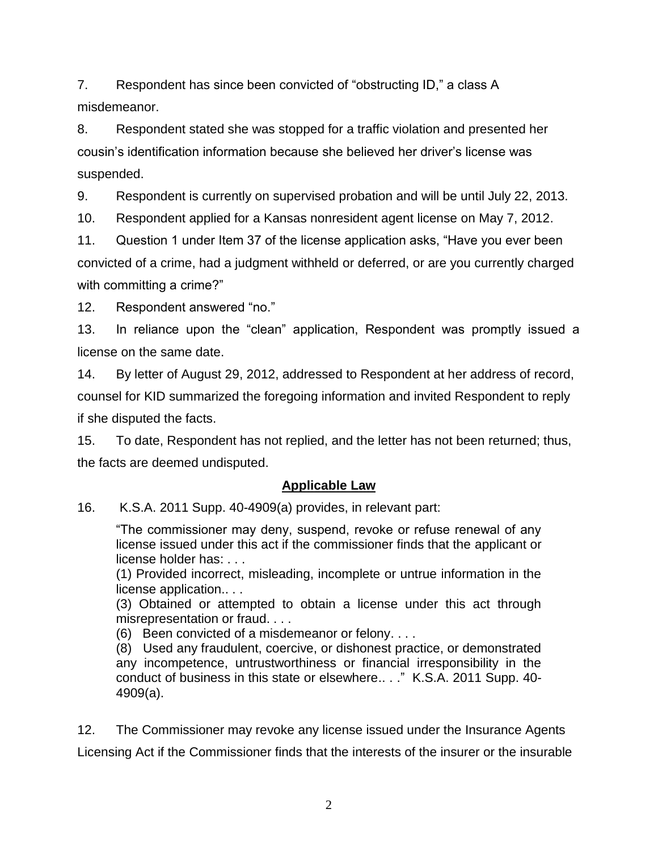7. Respondent has since been convicted of "obstructing ID," a class A misdemeanor.

8. Respondent stated she was stopped for a traffic violation and presented her cousin's identification information because she believed her driver's license was suspended.

9. Respondent is currently on supervised probation and will be until July 22, 2013.

10. Respondent applied for a Kansas nonresident agent license on May 7, 2012.

11. Question 1 under Item 37 of the license application asks, "Have you ever been convicted of a crime, had a judgment withheld or deferred, or are you currently charged with committing a crime?"

12. Respondent answered "no."

13. In reliance upon the "clean" application, Respondent was promptly issued a license on the same date.

14. By letter of August 29, 2012, addressed to Respondent at her address of record, counsel for KID summarized the foregoing information and invited Respondent to reply if she disputed the facts.

15. To date, Respondent has not replied, and the letter has not been returned; thus, the facts are deemed undisputed.

# **Applicable Law**

16. K.S.A. 2011 Supp. 40-4909(a) provides, in relevant part:

"The commissioner may deny, suspend, revoke or refuse renewal of any license issued under this act if the commissioner finds that the applicant or license holder has: . . .

(1) Provided incorrect, misleading, incomplete or untrue information in the license application.. . .

(3) Obtained or attempted to obtain a license under this act through misrepresentation or fraud. . . .

(6) Been convicted of a misdemeanor or felony. . . .

(8) Used any fraudulent, coercive, or dishonest practice, or demonstrated any incompetence, untrustworthiness or financial irresponsibility in the conduct of business in this state or elsewhere.. . ." K.S.A. 2011 Supp. 40- 4909(a).

12. The Commissioner may revoke any license issued under the Insurance Agents Licensing Act if the Commissioner finds that the interests of the insurer or the insurable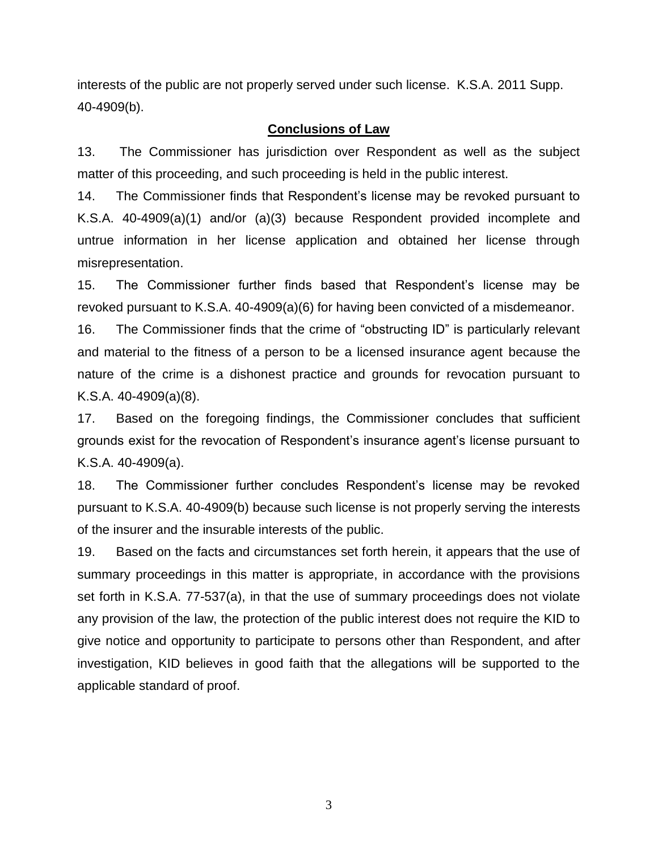interests of the public are not properly served under such license. K.S.A. 2011 Supp. 40-4909(b).

#### **Conclusions of Law**

13. The Commissioner has jurisdiction over Respondent as well as the subject matter of this proceeding, and such proceeding is held in the public interest.

14. The Commissioner finds that Respondent's license may be revoked pursuant to K.S.A. 40-4909(a)(1) and/or (a)(3) because Respondent provided incomplete and untrue information in her license application and obtained her license through misrepresentation.

15. The Commissioner further finds based that Respondent's license may be revoked pursuant to K.S.A. 40-4909(a)(6) for having been convicted of a misdemeanor.

16. The Commissioner finds that the crime of "obstructing ID" is particularly relevant and material to the fitness of a person to be a licensed insurance agent because the nature of the crime is a dishonest practice and grounds for revocation pursuant to K.S.A. 40-4909(a)(8).

17. Based on the foregoing findings, the Commissioner concludes that sufficient grounds exist for the revocation of Respondent's insurance agent's license pursuant to K.S.A. 40-4909(a).

18. The Commissioner further concludes Respondent's license may be revoked pursuant to K.S.A. 40-4909(b) because such license is not properly serving the interests of the insurer and the insurable interests of the public.

19. Based on the facts and circumstances set forth herein, it appears that the use of summary proceedings in this matter is appropriate, in accordance with the provisions set forth in K.S.A. 77-537(a), in that the use of summary proceedings does not violate any provision of the law, the protection of the public interest does not require the KID to give notice and opportunity to participate to persons other than Respondent, and after investigation, KID believes in good faith that the allegations will be supported to the applicable standard of proof.

3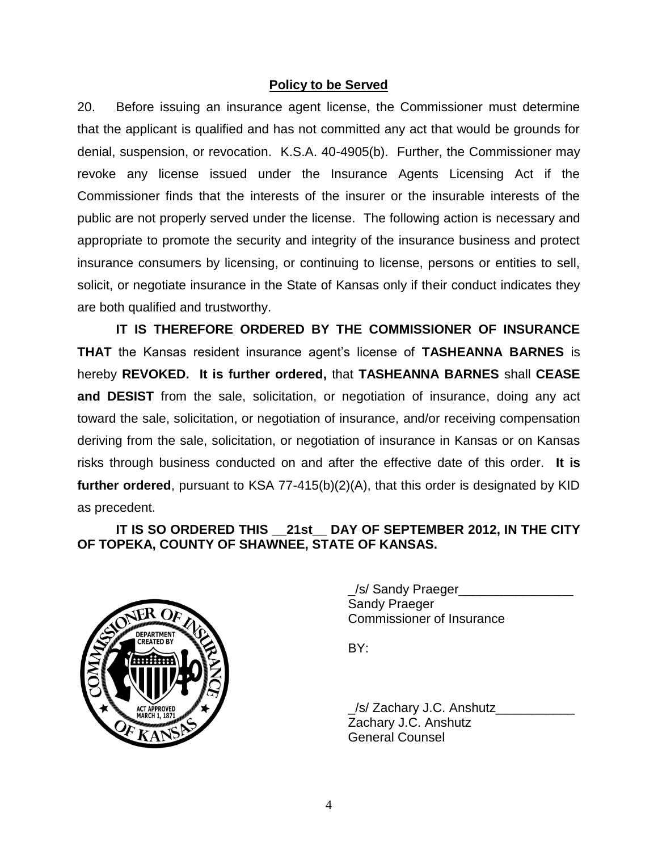## **Policy to be Served**

20. Before issuing an insurance agent license, the Commissioner must determine that the applicant is qualified and has not committed any act that would be grounds for denial, suspension, or revocation. K.S.A. 40-4905(b). Further, the Commissioner may revoke any license issued under the Insurance Agents Licensing Act if the Commissioner finds that the interests of the insurer or the insurable interests of the public are not properly served under the license. The following action is necessary and appropriate to promote the security and integrity of the insurance business and protect insurance consumers by licensing, or continuing to license, persons or entities to sell, solicit, or negotiate insurance in the State of Kansas only if their conduct indicates they are both qualified and trustworthy.

**IT IS THEREFORE ORDERED BY THE COMMISSIONER OF INSURANCE THAT** the Kansas resident insurance agent's license of **TASHEANNA BARNES** is hereby **REVOKED. It is further ordered,** that **TASHEANNA BARNES** shall **CEASE and DESIST** from the sale, solicitation, or negotiation of insurance, doing any act toward the sale, solicitation, or negotiation of insurance, and/or receiving compensation deriving from the sale, solicitation, or negotiation of insurance in Kansas or on Kansas risks through business conducted on and after the effective date of this order. **It is further ordered**, pursuant to KSA 77-415(b)(2)(A), that this order is designated by KID as precedent.

**IT IS SO ORDERED THIS \_\_21st\_\_ DAY OF SEPTEMBER 2012, IN THE CITY OF TOPEKA, COUNTY OF SHAWNEE, STATE OF KANSAS.**



\_/s/ Sandy Praeger\_\_\_\_\_\_\_\_\_\_\_\_\_\_\_\_ Sandy Praeger Commissioner of Insurance

BY:

\_/s/ Zachary J.C. Anshutz\_\_\_\_\_\_\_\_\_\_\_ Zachary J.C. Anshutz General Counsel